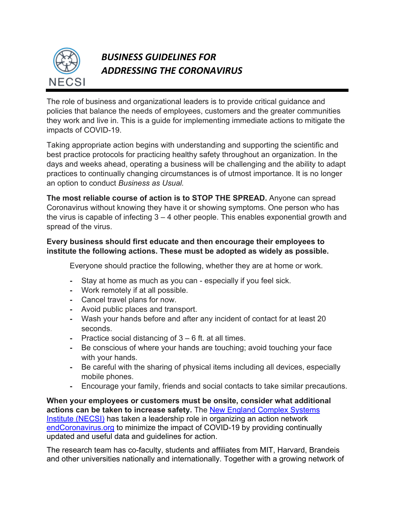

## *BUSINESS GUIDELINES FOR ADDRESSING THE CORONAVIRUS*

The role of business and organizational leaders is to provide critical guidance and policies that balance the needs of employees, customers and the greater communities they work and live in. This is a guide for implementing immediate actions to mitigate the impacts of COVID-19.

Taking appropriate action begins with understanding and supporting the scientific and best practice protocols for practicing healthy safety throughout an organization. In the days and weeks ahead, operating a business will be challenging and the ability to adapt practices to continually changing circumstances is of utmost importance. It is no longer an option to conduct *Business as Usual.*

**The most reliable course of action is to STOP THE SPREAD.** Anyone can spread Coronavirus without knowing they have it or showing symptoms. One person who has the virus is capable of infecting 3 – 4 other people. This enables exponential growth and spread of the virus.

## **Every business should first educate and then encourage their employees to institute the following actions. These must be adopted as widely as possible.**

Everyone should practice the following, whether they are at home or work.

- **-** Stay at home as much as you can especially if you feel sick.
- **-** Work remotely if at all possible.
- **-** Cancel travel plans for now.
- **-** Avoid public places and transport.
- **-** Wash your hands before and after any incident of contact for at least 20 seconds.
- **-** Practice social distancing of 3 6 ft. at all times.
- **-** Be conscious of where your hands are touching; avoid touching your face with your hands.
- **-** Be careful with the sharing of physical items including all devices, especially mobile phones.
- **-** Encourage your family, friends and social contacts to take similar precautions.

**When your employees or customers must be onsite, consider what additional actions can be taken to increase safety.** The New England Complex Systems Institute (NECSI) has taken a leadership role in organizing an action network endCoronavirus.org to minimize the impact of COVID-19 by providing continually updated and useful data and guidelines for action.

The research team has co-faculty, students and affiliates from MIT, Harvard, Brandeis and other universities nationally and internationally. Together with a growing network of